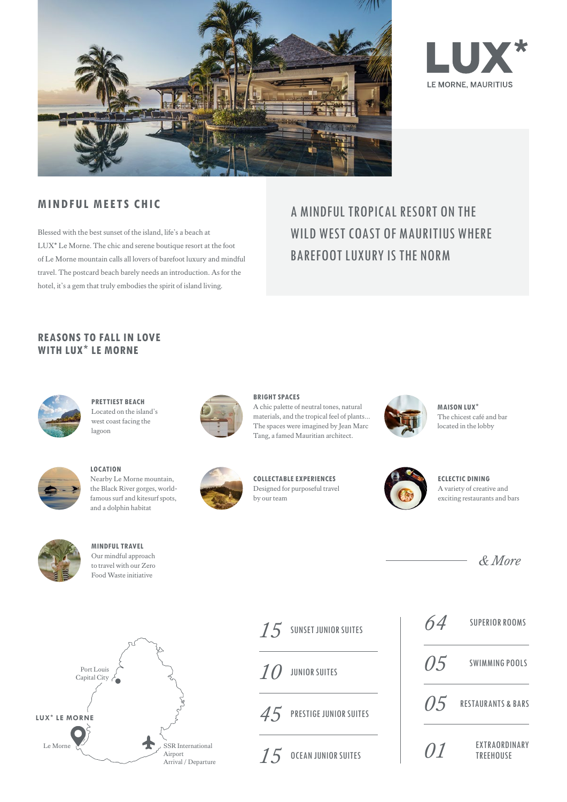



# **MINDFUL MEETS CHIC**

Blessed with the best sunset of the island, life's a beach at LUX\* Le Morne. The chic and serene boutique resort at the foot of Le Morne mountain calls all lovers of barefoot luxury and mindful travel. The postcard beach barely needs an introduction. As for the hotel, it's a gem that truly embodies the spirit of island living.

# A MINDFUL TROPICAL RESORT ON THE WILD WEST COAST OF MAURITIUS WHERE BAREFOOT LUXURY IS THE NORM

# **REASONS TO FALL IN LOVE WITH LUX**\* **LE MORNE**



**PRETTIEST BEACH** Located on the island's west coast facing the lagoon



**LOCATION** Nearby Le Morne mountain, the Black River gorges, worldfamous surf and kitesurf spots,

and a dolphin habitat

**MINDFUL TRAVEL** Our mindful approach to travel with our Zero Food Waste initiative



**BRIGHT SPACES** A chic palette of neutral tones, natural materials, and the tropical feel of plants… The spaces were imagined by Jean Marc Tang, a famed Mauritian architect.



**MAISON LUX**\* The chicest café and bar located in the lobby



**ECLECTIC DINING** A variety of creative and exciting restaurants and bars



**LUX**\* **LE MORNE** Le Morne SSR International Airport Arrival / Departure Port Louis Capital City



**COLLECTABLE EXPERIENCES** Designed for purposeful travel by our team

| SUNSET JUNIOR SUITES<br>15  | 64. | <b>SUPERIOR ROOMS</b>             |
|-----------------------------|-----|-----------------------------------|
| 10<br>JUNIOR SUITES         |     | $0.5$ SWIMMING POOLS              |
| $45$ Prestige Junior Suites |     | $0.5$ RESTAURANTS & BARS          |
| OCEAN JUNIOR SUITES<br>15   | 01  | EXTRAORDINARY<br><b>TREEHOUSE</b> |

| 64   | <b>SUPERIOR ROOMS</b>                    |
|------|------------------------------------------|
| 05   | SWIMMING POOLS                           |
| (15) | <b>RESTAURANTS &amp; BARS</b>            |
| (11  | <b>FXTRAORDINARY</b><br><b>TRFFHOUSE</b> |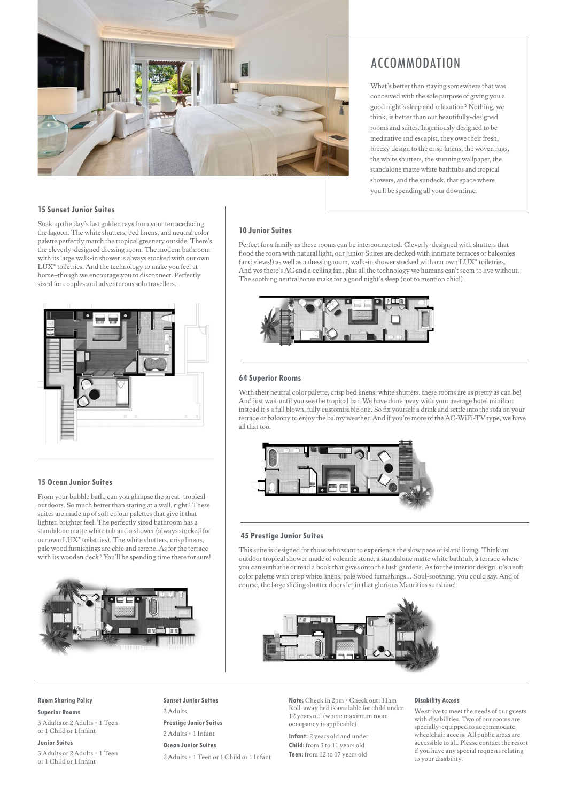

# ACCOMMODATION

What's better than staying somewhere that was conceived with the sole purpose of giving you a good night's sleep and relaxation? Nothing, we think, is better than our beautifully-designed rooms and suites. Ingeniously designed to be meditative and escapist, they owe their fresh, breezy design to the crisp linens, the woven rugs, the white shutters, the stunning wallpaper, the standalone matte white bathtubs and tropical showers, and the sundeck, that space where you'll be spending all your downtime.

## **15 Sunset Junior Suites**

Soak up the day's last golden rays from your terrace facing the lagoon. The white shutters, bed linens, and neutral color palette perfectly match the tropical greenery outside. There's the cleverly-designed dressing room. The modern bathroom with its large walk-in shower is always stocked with our own LUX\* toiletries. And the technology to make you feel at home–though we encourage you to disconnect. Perfectly sized for couples and adventurous solo travellers.



### **15 Ocean Junior Suites**

From your bubble bath, can you glimpse the great–tropical– outdoors. So much better than staring at a wall, right? These suites are made up of soft colour palettes that give it that lighter, brighter feel. The perfectly sized bathroom has a standalone matte white tub and a shower (always stocked for our own LUX\* toiletries). The white shutters, crisp linens, pale wood furnishings are chic and serene. As for the terrace with its wooden deck? You'll be spending time there for sure!



### **10 Junior Suites**

Perfect for a family as these rooms can be interconnected. Cleverly-designed with shutters that flood the room with natural light, our Junior Suites are decked with intimate terraces or balconies (and views!) as well as a dressing room, walk-in shower stocked with our own LUX\* toiletries. And yes there's AC and a ceiling fan, plus all the technology we humans can't seem to live without. The soothing neutral tones make for a good night's sleep (not to mention chic!)



### **64 Superior Rooms**

With their neutral color palette, crisp bed linens, white shutters, these rooms are as pretty as can be! And just wait until you see the tropical bar. We have done away with your average hotel minibar: instead it's a full blown, fully customisable one. So fix yourself a drink and settle into the sofa on your terrace or balcony to enjoy the balmy weather. And if you're more of the AC-WiFi-TV type, we have all that too.



### **45 Prestige Junior Suites**

This suite is designed for those who want to experience the slow pace of island living. Think an outdoor tropical shower made of volcanic stone, a standalone matte white bathtub, a terrace where you can sunbathe or read a book that gives onto the lush gardens. As for the interior design, it's a soft color palette with crisp white linens, pale wood furnishings… Soul-soothing, you could say. And of course, the large sliding shutter doors let in that glorious Mauritius sunshine!



**Sunset Junior Suites** 2 Adults **Prestige Junior Suites**

**Note:** Check in 2pm / Check out: 11am Roll-away bed is available for child under 12 years old (where maximum room occupancy is applicable)

**Infant:** 2 years old and under **Child:** from 3 to 11 years old **Teen:** from 12 to 17 years old

#### **Disability Access**

We strive to meet the needs of our guests with disabilities. Two of our rooms are specially-equipped to accommodate wheelchair access. All public areas are accessible to all. Please contact the resort if you have any special requests relating to your disability.

#### **Room Sharing Policy**

**Superior Rooms**

3 Adults or 2 Adults + 1 Teen or 1 Child or 1 Infant

#### **Junior Suites**

3 Adults or 2 Adults + 1 Teen or 1 Child or 1 Infant

2 Adults + 1 Infant **Ocean Junior Suites** 2 Adults + 1 Teen or 1 Child or 1 Infant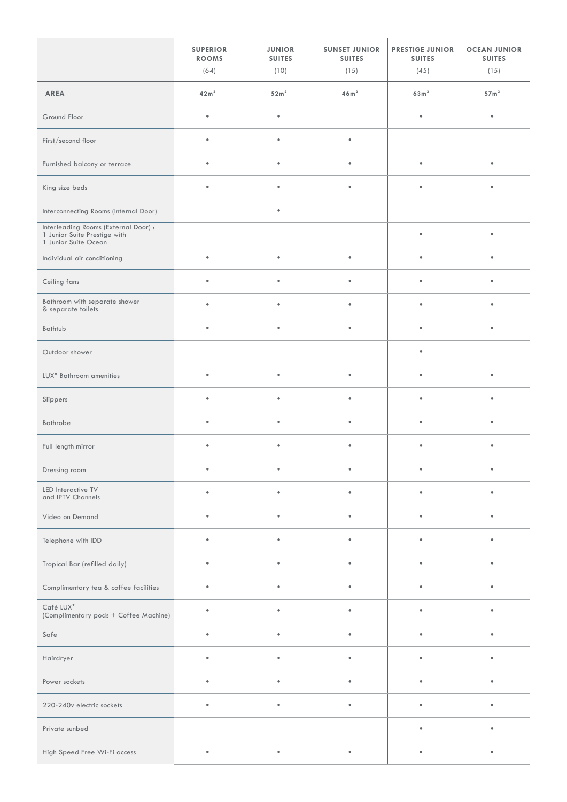|                                                                                              | <b>SUPERIOR</b><br><b>ROOMS</b><br>(64) | <b>JUNIOR</b><br><b>SUITES</b><br>(10) | <b>SUNSET JUNIOR</b><br><b>SUITES</b><br>(15) | <b>PRESTIGE JUNIOR</b><br><b>SUITES</b><br>(45) | <b>OCEAN JUNIOR</b><br><b>SUITES</b><br>(15) |
|----------------------------------------------------------------------------------------------|-----------------------------------------|----------------------------------------|-----------------------------------------------|-------------------------------------------------|----------------------------------------------|
| AREA                                                                                         | 42m <sup>2</sup>                        | 52m <sup>2</sup>                       | 46m <sup>2</sup>                              | $63 \,\mathrm{m}^2$                             | 57 <sup>m²</sup>                             |
| Ground Floor                                                                                 | $\bullet$                               | $\bullet$                              |                                               | $\bullet$                                       | $\bullet$                                    |
| First/second floor                                                                           | $\bullet$                               | $\bullet$                              | $\bullet$                                     |                                                 |                                              |
| Furnished balcony or terrace                                                                 | $\bullet$                               | $\bullet$                              | $\bullet$                                     | $\bullet$                                       | $\bullet$                                    |
| King size beds                                                                               | $\bullet$                               | $\bullet$                              | $\bullet$                                     | $\bullet$                                       | $\bullet$                                    |
| Interconnecting Rooms (Internal Door)                                                        |                                         | $\bullet$                              |                                               |                                                 |                                              |
| Interleading Rooms (External Door) :<br>1 Junior Suite Prestige with<br>1 Junior Suite Ocean |                                         |                                        |                                               | $\bullet$                                       | $\bullet$                                    |
| Individual air conditioning                                                                  | $\bullet$                               | $\bullet$                              | $\bullet$                                     | $\bullet$                                       | $\bullet$                                    |
| Ceiling fans                                                                                 | $\bullet$                               | $\bullet$                              | $\bullet$                                     | $\bullet$                                       | $\bullet$                                    |
| Bathroom with separate shower<br>& separate toilets                                          | $\bullet$                               | $\bullet$                              | $\bullet$                                     | $\bullet$                                       | $\bullet$                                    |
| Bathtub                                                                                      | $\bullet$                               | $\bullet$                              | $\bullet$                                     | $\bullet$                                       | $\bullet$                                    |
| Outdoor shower                                                                               |                                         |                                        |                                               | $\bullet$                                       |                                              |
| LUX* Bathroom amenities                                                                      | $\bullet$                               | $\bullet$                              | $\bullet$                                     | $\bullet$                                       | $\bullet$                                    |
| Slippers                                                                                     | ٠                                       | $\bullet$                              | $\bullet$                                     | $\bullet$                                       | ٠                                            |
| Bathrobe                                                                                     | ٠                                       | $\bullet$                              | $\bullet$                                     | $\bullet$                                       | ٠                                            |
| Full length mirror                                                                           | $\bullet$                               | $\bullet$                              | $\bullet$                                     | $\bullet$                                       | $\bullet$                                    |
| Dressing room                                                                                |                                         | ٠                                      | ٠                                             | $\bullet$                                       | ٠                                            |
| LED Interactive TV<br>and IPTV Channels                                                      | ٠                                       | $\bullet$                              | $\bullet$                                     | $\bullet$                                       | $\bullet$                                    |
| Video on Demand                                                                              | $\bullet$                               | $\bullet$                              | $\bullet$                                     | $\bullet$                                       | $\bullet$                                    |
| Telephone with IDD                                                                           | $\bullet$                               | $\bullet$                              | $\bullet$                                     | $\bullet$                                       | $\bullet$                                    |
| Tropical Bar (refilled daily)                                                                | $\bullet$                               | $\bullet$                              | $\bullet$                                     | $\bullet$                                       | $\bullet$                                    |
| Complimentary tea & coffee facilities                                                        | ٠                                       | $\bullet$                              | $\bullet$                                     | $\bullet$                                       | $\bullet$                                    |
| Café LUX*<br>(Complimentary pods + Coffee Machine)                                           | ٠                                       | $\bullet$                              | $\bullet$                                     | ٠                                               | ٠                                            |
| Safe                                                                                         |                                         | $\bullet$                              | ٠                                             |                                                 |                                              |
| Hairdryer                                                                                    |                                         | ٠                                      | $\bullet$                                     |                                                 |                                              |
| Power sockets                                                                                |                                         | ٠                                      | ٠                                             |                                                 |                                              |
| 220-240v electric sockets                                                                    | $\bullet$                               | $\bullet$                              | $\bullet$                                     | $\bullet$                                       | $\bullet$                                    |
| Private sunbed                                                                               |                                         |                                        |                                               | $\bullet$                                       | $\bullet$                                    |
| High Speed Free Wi-Fi access                                                                 | $\bullet$                               | $\bullet$                              | $\bullet$                                     | $\bullet$                                       | $\bullet$                                    |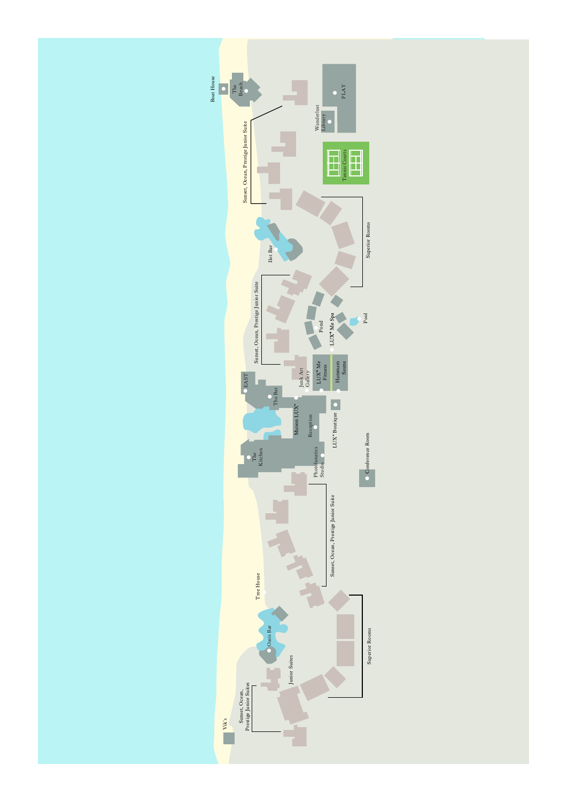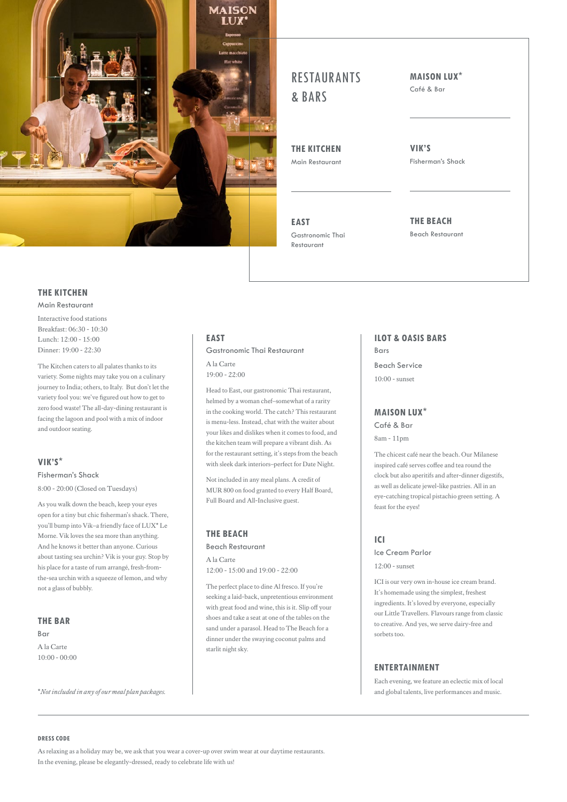

# **RESTALIRANTS** & BARS

**THE KITCHEN** Main Restaurant

**EAST** Gastronomic Thai Restaurant

**MAISON LUX**\*

Café & Bar

**VIK'S** Fisherman's Shack

**THE BEACH** Beach Restaurant

# **THE KITCHEN**

Main Restaurant

Interactive food stations Breakfast: 06:30 - 10:30 Lunch: 12:00 - 15:00 Dinner: 19:00 - 22:30

The Kitchen caters to all palates thanks to its variety. Some nights may take you on a culinary journey to India; others, to Italy. But don't let the variety fool you: we've figured out how to get to zero food waste! The all-day-dining restaurant is facing the lagoon and pool with a mix of indoor and outdoor seating.

## **VIK'S**\*

# Fisherman's Shack

8:00 - 20:00 (Closed on Tuesdays)

As you walk down the beach, keep your eyes open for a tiny but chic fisherman's shack. There, you'll bump into Vik–a friendly face of LUX\* Le Morne. Vik loves the sea more than anything. And he knows it better than anyone. Curious about tasting sea urchin? Vik is your guy. Stop by his place for a taste of rum arrangé, fresh-fromthe-sea urchin with a squeeze of lemon, and why not a glass of bubbly.

# **THE BAR**

Bar A la Carte  $10:00 - 00:00$ 

# **EAST** Gastronomic Thai Restaurant

A la Carte 19:00 - 22:00

Head to East, our gastronomic Thai restaurant, helmed by a woman chef–somewhat of a rarity in the cooking world. The catch? This restaurant is menu-less. Instead, chat with the waiter about your likes and dislikes when it comes to food, and the kitchen team will prepare a vibrant dish. As for the restaurant setting, it's steps from the beach with sleek dark interiors–perfect for Date Night.

Not included in any meal plans. A credit of MUR 800 on food granted to every Half Board, Full Board and All-Inclusive guest.

## **THE BEACH**

Beach Restaurant A la Carte 12:00 - 15:00 and 19:00 - 22:00

The perfect place to dine Al fresco. If you're seeking a laid-back, unpretentious environment with great food and wine, this is it. Slip off your shoes and take a seat at one of the tables on the sand under a parasol. Head to The Beach for a dinner under the swaying coconut palms and starlit night sky.

**ILOT & OASIS BARS** Bars

Beach Service  $10:00$  - sunset

## **MAISON LUX**\*

Café & Bar 8am - 11pm

The chicest café near the beach. Our Milanese inspired café serves coffee and tea round the clock but also aperitifs and after-dinner digestifs, as well as delicate jewel-like pastries. All in an eye-catching tropical pistachio green setting. A feast for the eyes!

# **ICI**

Ice Cream Parlor  $12:00$  - sunset

ICI is our very own in-house ice cream brand. It's homemade using the simplest, freshest ingredients. It's loved by everyone, especially our Little Travellers. Flavours range from classic to creative. And yes, we serve dairy-free and sorbets too.

# **ENTERTAINMENT**

Each evening, we feature an eclectic mix of local and global talents, live performances and music.

\**Not included in any of our meal plan packages.*

#### **DRESS CODE**

As relaxing as a holiday may be, we ask that you wear a cover-up over swim wear at our daytime restaurants. In the evening, please be elegantly-dressed, ready to celebrate life with us!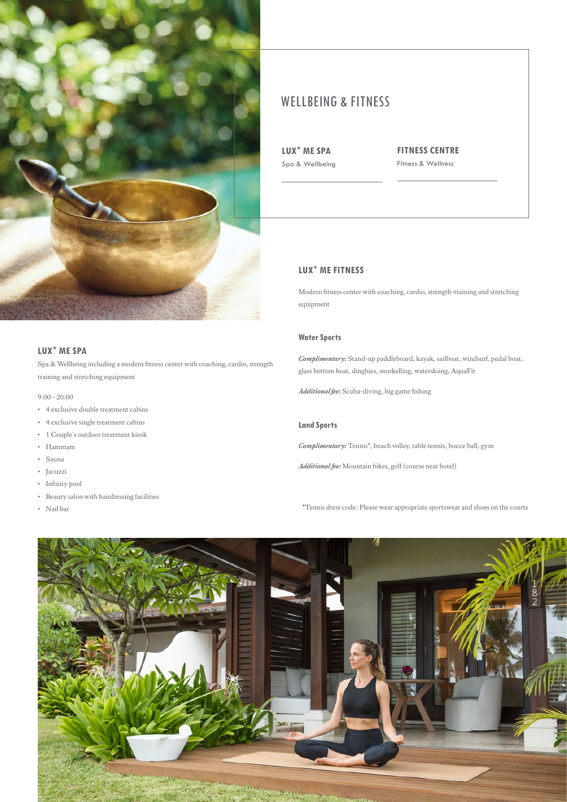

# **LUX**\* **ME SPA**

Spa & Wellbeing including a modern fitness center with coaching, cardio, strength training and stretching equipment

### 9:00 - 20:00

- 4 exclusive double treatment cabins
- 4 exclusive single treatment cabins
- 1 Couple's outdoor treatment kiosk
- Hammam
- Sauna
- Jacuzzi
- Infinity pool
- Beauty salon with hairdressing facilities
- Nail bar

# WELLBEING & FITNESS

**LUX**\* **ME SPA** Spa & Wellbeing **FITNESS CENTRE** Fitness & Wellness

# **LUX**\* **ME FITNESS**

Modern fitness center with coaching, cardio, strength-training and stretching equipment

## **Water Sports**

*Complimentary:* Stand-up paddleboard, kayak, sailboat, windsurf, pedal boat, glass bottom boat, dinghies, snorkelling, waterskiing, AquaFit

*Additional fee:* Scuba-diving, big game fishing

## **Land Sports**

*Complimentary:* Tennis\*, beach volley, table tennis, bocce ball, gym

*Additional fee:* Mountain bikes, golf (course near hotel)

\*Tennis dress code: Please wear appropriate sportswear and shoes on the courts